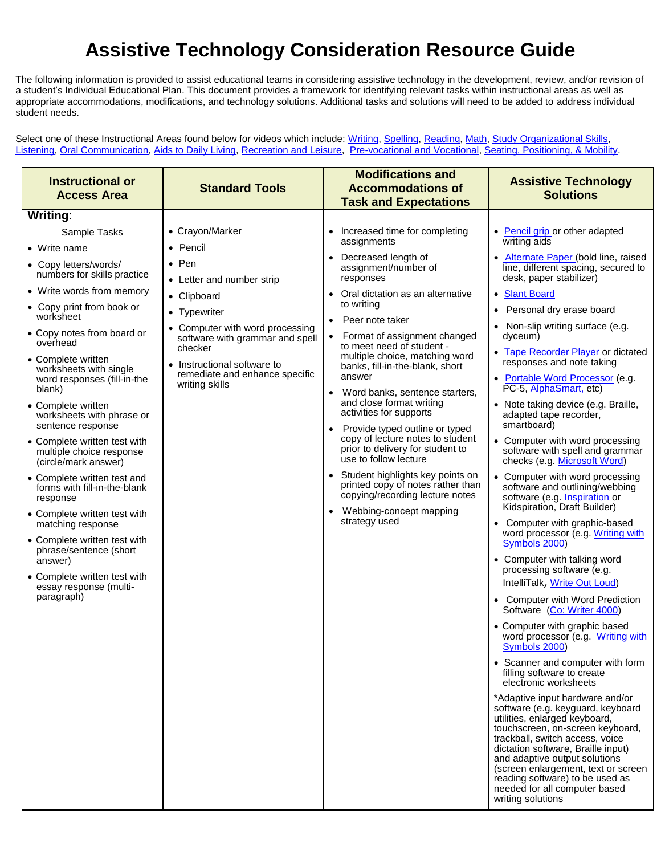## **Assistive Technology Consideration Resource Guide**

The following information is provided to assist educational teams in considering assistive technology in the development, review, and/or revision of a student's Individual Educational Plan. This document provides a framework for identifying relevant tasks within instructional areas as well as appropriate accommodations, modifications, and technology solutions. Additional tasks and solutions will need to be added to address individual student needs.

Select one of these Instructional Areas found below for videos which include: [Writing,](http://www.valdosta.edu/coe/ecre/ATRB/AT_considerati_resource.htm#Writing:) [Spelling,](http://www.valdosta.edu/coe/ecre/ATRB/AT_considerati_resource.htm#Spelling) [Reading,](http://www.valdosta.edu/coe/ecre/ATRB/AT_considerati_resource.htm#Reading:) [Math,](http://www.valdosta.edu/coe/ecre/ATRB/AT_considerati_resource.htm#Math:) [Study Organizational Skills,](http://www.valdosta.edu/coe/ecre/ATRB/AT_considerati_resource.htm#Study  Organizational Skills) [Listening,](http://www.valdosta.edu/coe/ecre/ATRB/AT_considerati_resource.htm#Listening) [Oral Communication,](http://www.valdosta.edu/coe/ecre/ATRB/AT_considerati_resource.htm#Oral Communication:) [Aids to Daily Living,](http://www.valdosta.edu/coe/ecre/ATRB/AT_considerati_resource.htm#Aids to Daily Living) [Recreation and Leisure,](http://www.valdosta.edu/coe/ecre/ATRB/AT_considerati_resource.htm#Recreation and Leisure) [Pre-vocational and Vocational,](http://www.valdosta.edu/coe/ecre/ATRB/AT_considerati_resource.htm#Pre-vocational and                 Vocational:) [Seating, Positioning, & Mobility.](http://www.valdosta.edu/coe/ecre/ATRB/AT_considerati_resource.htm#Seating, Positioning, and Mobility:)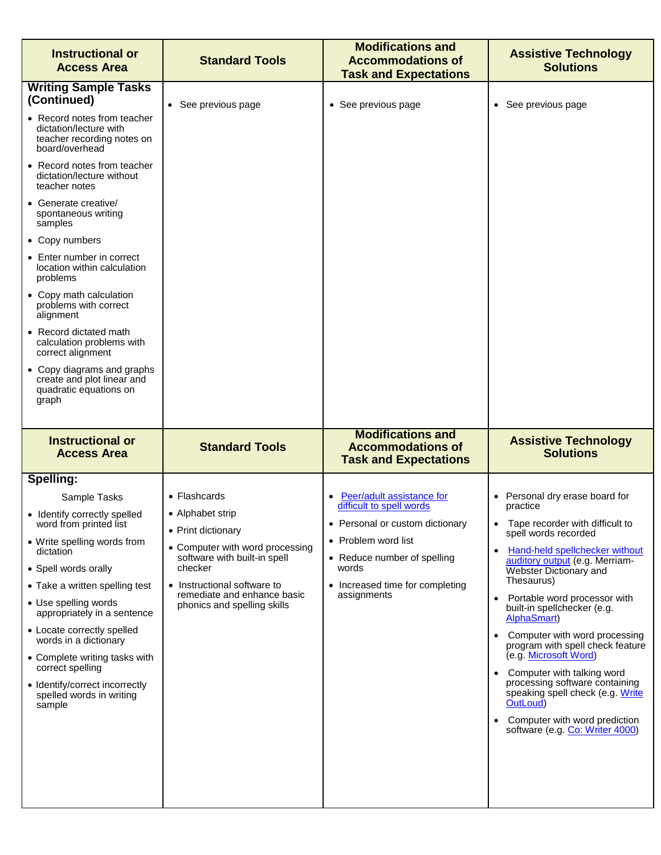| <b>Instructional or</b><br><b>Access Area</b>                                                                                                                                                                                                                                                                                                                                                                                                                                                                                                                                                                                    | <b>Standard Tools</b>                                                                                                                                                                                                                     | <b>Modifications and</b><br><b>Accommodations of</b><br><b>Task and Expectations</b>                                                                                                                      | <b>Assistive Technology</b><br><b>Solutions</b>                                                                                                                                                                                                                                                                                                                                                                                                                                                                                                                                                                            |
|----------------------------------------------------------------------------------------------------------------------------------------------------------------------------------------------------------------------------------------------------------------------------------------------------------------------------------------------------------------------------------------------------------------------------------------------------------------------------------------------------------------------------------------------------------------------------------------------------------------------------------|-------------------------------------------------------------------------------------------------------------------------------------------------------------------------------------------------------------------------------------------|-----------------------------------------------------------------------------------------------------------------------------------------------------------------------------------------------------------|----------------------------------------------------------------------------------------------------------------------------------------------------------------------------------------------------------------------------------------------------------------------------------------------------------------------------------------------------------------------------------------------------------------------------------------------------------------------------------------------------------------------------------------------------------------------------------------------------------------------------|
| <b>Writing Sample Tasks</b><br>(Continued)<br>• Record notes from teacher<br>dictation/lecture with<br>teacher recording notes on<br>board/overhead<br>• Record notes from teacher<br>dictation/lecture without<br>teacher notes<br>• Generate creative/<br>spontaneous writing<br>samples<br>• Copy numbers<br>• Enter number in correct<br>location within calculation<br>problems<br>• Copy math calculation<br>problems with correct<br>alignment<br>• Record dictated math<br>calculation problems with<br>correct alignment<br>• Copy diagrams and graphs<br>create and plot linear and<br>quadratic equations on<br>graph | • See previous page                                                                                                                                                                                                                       | • See previous page                                                                                                                                                                                       | • See previous page                                                                                                                                                                                                                                                                                                                                                                                                                                                                                                                                                                                                        |
| <b>Instructional or</b><br><b>Access Area</b>                                                                                                                                                                                                                                                                                                                                                                                                                                                                                                                                                                                    | <b>Standard Tools</b>                                                                                                                                                                                                                     | <b>Modifications and</b><br><b>Accommodations of</b><br><b>Task and Expectations</b>                                                                                                                      | <b>Assistive Technology</b><br><b>Solutions</b>                                                                                                                                                                                                                                                                                                                                                                                                                                                                                                                                                                            |
| Spelling:<br>Sample Tasks<br>• Identify correctly spelled<br>word from printed list<br>• Write spelling words from<br>dictation<br>• Spell words orally<br>• Take a written spelling test<br>• Use spelling words<br>appropriately in a sentence<br>• Locate correctly spelled<br>words in a dictionary<br>• Complete writing tasks with<br>correct spelling<br>• Identify/correct incorrectly<br>spelled words in writing<br>sample                                                                                                                                                                                             | $\bullet$ Flashcards<br>• Alphabet strip<br>• Print dictionary<br>• Computer with word processing<br>software with built-in spell<br>checker<br>• Instructional software to<br>remediate and enhance basic<br>phonics and spelling skills | Peer/adult assistance for<br>difficult to spell words<br>• Personal or custom dictionary<br>• Problem word list<br>• Reduce number of spelling<br>words<br>• Increased time for completing<br>assignments | • Personal dry erase board for<br>practice<br>Tape recorder with difficult to<br>spell words recorded<br>Hand-held spellchecker without<br>$\bullet$<br>auditory output (e.g. Merriam-<br>Webster Dictionary and<br>Thesaurus)<br>Portable word processor with<br>$\bullet$<br>built-in spellchecker (e.g.<br>AlphaSmart)<br>Computer with word processing<br>$\bullet$<br>program with spell check feature<br>(e.g. Microsoft Word)<br>• Computer with talking word<br>processing software containing<br>speaking spell check (e.g. Write<br>OutLoud)<br>Computer with word prediction<br>software (e.g. Co: Writer 4000) |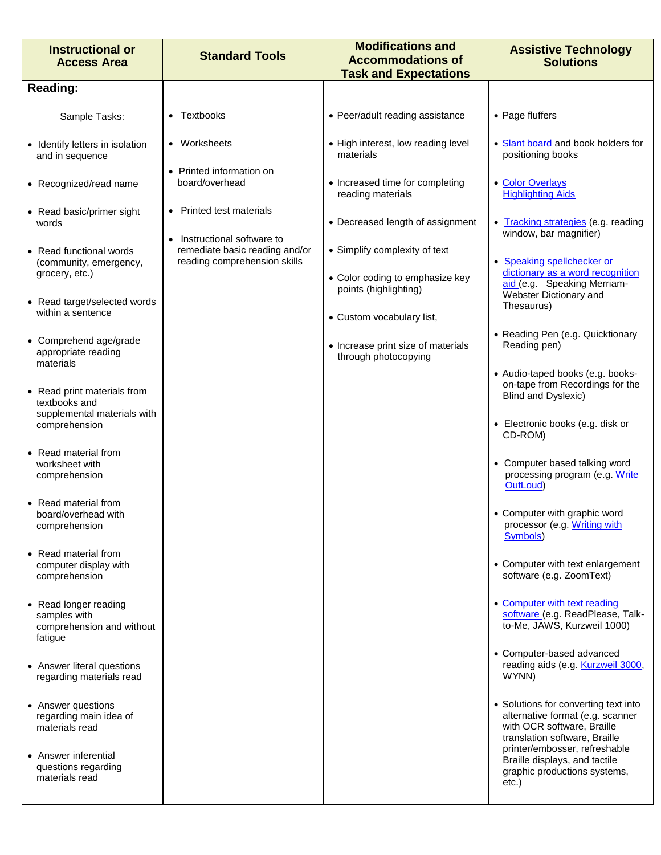| <b>Instructional or</b><br><b>Access Area</b>                                 | <b>Standard Tools</b>                                                                       | <b>Modifications and</b><br><b>Accommodations of</b><br><b>Task and Expectations</b> | <b>Assistive Technology</b><br><b>Solutions</b>                                                                                         |
|-------------------------------------------------------------------------------|---------------------------------------------------------------------------------------------|--------------------------------------------------------------------------------------|-----------------------------------------------------------------------------------------------------------------------------------------|
| <b>Reading:</b>                                                               |                                                                                             |                                                                                      |                                                                                                                                         |
| Sample Tasks:                                                                 | Textbooks                                                                                   | • Peer/adult reading assistance                                                      | • Page fluffers                                                                                                                         |
| • Identify letters in isolation<br>and in sequence                            | • Worksheets                                                                                | • High interest, low reading level<br>materials                                      | • Slant board and book holders for<br>positioning books                                                                                 |
| • Recognized/read name                                                        | • Printed information on<br>board/overhead                                                  | • Increased time for completing<br>reading materials                                 | • Color Overlays<br><b>Highlighting Aids</b>                                                                                            |
| • Read basic/primer sight<br>words                                            | <b>Printed test materials</b>                                                               | • Decreased length of assignment                                                     | • Tracking strategies (e.g. reading<br>window, bar magnifier)                                                                           |
| • Read functional words<br>(community, emergency,                             | Instructional software to<br>remediate basic reading and/or<br>reading comprehension skills | • Simplify complexity of text                                                        | • Speaking spellchecker or                                                                                                              |
| grocery, etc.)<br>• Read target/selected words                                |                                                                                             | • Color coding to emphasize key<br>points (highlighting)                             | dictionary as a word recognition<br>aid (e.g. Speaking Merriam-<br>Webster Dictionary and                                               |
| within a sentence                                                             |                                                                                             | • Custom vocabulary list,                                                            | Thesaurus)                                                                                                                              |
| • Comprehend age/grade<br>appropriate reading                                 |                                                                                             | • Increase print size of materials<br>through photocopying                           | • Reading Pen (e.g. Quicktionary<br>Reading pen)                                                                                        |
| materials<br>• Read print materials from<br>textbooks and                     |                                                                                             |                                                                                      | • Audio-taped books (e.g. books-<br>on-tape from Recordings for the<br>Blind and Dyslexic)                                              |
| supplemental materials with<br>comprehension                                  |                                                                                             |                                                                                      | • Electronic books (e.g. disk or<br>CD-ROM)                                                                                             |
| • Read material from<br>worksheet with<br>comprehension                       |                                                                                             |                                                                                      | • Computer based talking word<br>processing program (e.g. Write<br>OutLoud)                                                             |
| • Read material from<br>board/overhead with<br>comprehension                  |                                                                                             |                                                                                      | • Computer with graphic word<br>processor (e.g. Writing with<br>Symbols)                                                                |
| • Read material from<br>computer display with<br>comprehension                |                                                                                             |                                                                                      | • Computer with text enlargement<br>software (e.g. ZoomText)                                                                            |
| • Read longer reading<br>samples with<br>comprehension and without<br>fatigue |                                                                                             |                                                                                      | • Computer with text reading<br>software (e.g. ReadPlease, Talk-<br>to-Me, JAWS, Kurzweil 1000)                                         |
| • Answer literal questions<br>regarding materials read                        |                                                                                             |                                                                                      | • Computer-based advanced<br>reading aids (e.g. Kurzweil 3000,<br>WYNN)                                                                 |
| • Answer questions<br>regarding main idea of<br>materials read                |                                                                                             |                                                                                      | • Solutions for converting text into<br>alternative format (e.g. scanner<br>with OCR software, Braille<br>translation software, Braille |
| • Answer inferential<br>questions regarding<br>materials read                 |                                                                                             |                                                                                      | printer/embosser, refreshable<br>Braille displays, and tactile<br>graphic productions systems,<br>etc.)                                 |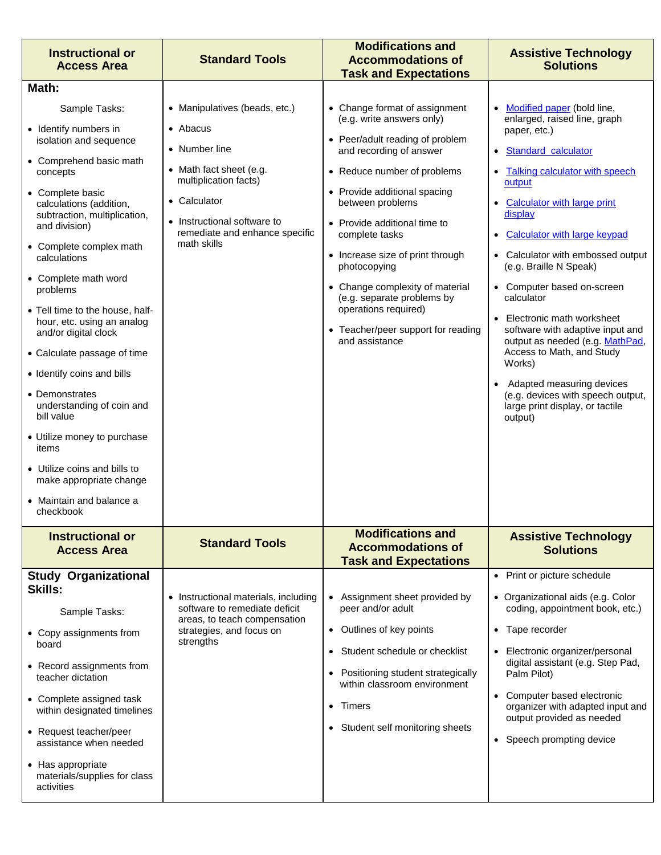| <b>Instructional or</b><br><b>Access Area</b>                                         | <b>Standard Tools</b>                                                        | <b>Modifications and</b><br><b>Accommodations of</b><br><b>Task and Expectations</b> | <b>Assistive Technology</b><br><b>Solutions</b>                                                    |
|---------------------------------------------------------------------------------------|------------------------------------------------------------------------------|--------------------------------------------------------------------------------------|----------------------------------------------------------------------------------------------------|
| Math:                                                                                 |                                                                              |                                                                                      |                                                                                                    |
| Sample Tasks:<br>• Identify numbers in                                                | • Manipulatives (beads, etc.)<br>• Abacus                                    | • Change format of assignment<br>(e.g. write answers only)                           | • Modified paper (bold line,<br>enlarged, raised line, graph<br>paper, etc.)                       |
| isolation and sequence                                                                | • Number line                                                                | • Peer/adult reading of problem<br>and recording of answer                           | · Standard calculator                                                                              |
| • Comprehend basic math<br>concepts                                                   | • Math fact sheet (e.g.<br>multiplication facts)                             | • Reduce number of problems                                                          | • Talking calculator with speech<br>output                                                         |
| • Complete basic<br>calculations (addition,<br>subtraction, multiplication,           | • Calculator                                                                 | • Provide additional spacing<br>between problems                                     | • Calculator with large print<br>display                                                           |
| and division)<br>• Complete complex math                                              | • Instructional software to<br>remediate and enhance specific<br>math skills | • Provide additional time to<br>complete tasks                                       | • Calculator with large keypad                                                                     |
| calculations                                                                          |                                                                              | • Increase size of print through<br>photocopying                                     | • Calculator with embossed output<br>(e.g. Braille N Speak)                                        |
| • Complete math word<br>problems                                                      |                                                                              | • Change complexity of material<br>(e.g. separate problems by                        | • Computer based on-screen<br>calculator                                                           |
| • Tell time to the house, half-<br>hour, etc. using an analog<br>and/or digital clock |                                                                              | operations required)<br>• Teacher/peer support for reading<br>and assistance         | • Electronic math worksheet<br>software with adaptive input and<br>output as needed (e.g. MathPad, |
| • Calculate passage of time                                                           |                                                                              |                                                                                      | Access to Math, and Study<br>Works)                                                                |
| • Identify coins and bills                                                            |                                                                              |                                                                                      | Adapted measuring devices                                                                          |
| • Demonstrates<br>understanding of coin and<br>bill value                             |                                                                              |                                                                                      | (e.g. devices with speech output,<br>large print display, or tactile<br>output)                    |
| • Utilize money to purchase<br>items                                                  |                                                                              |                                                                                      |                                                                                                    |
| • Utilize coins and bills to<br>make appropriate change                               |                                                                              |                                                                                      |                                                                                                    |
| • Maintain and balance a<br>checkbook                                                 |                                                                              |                                                                                      |                                                                                                    |
| <b>Instructional or</b><br><b>Access Area</b>                                         | <b>Standard Tools</b>                                                        | <b>Modifications and</b><br><b>Accommodations of</b><br><b>Task and Expectations</b> | <b>Assistive Technology</b><br><b>Solutions</b>                                                    |
| <b>Study Organizational</b>                                                           |                                                                              |                                                                                      | • Print or picture schedule                                                                        |
| <b>Skills:</b><br>Sample Tasks:                                                       | • Instructional materials, including<br>software to remediate deficit        | • Assignment sheet provided by<br>peer and/or adult                                  | • Organizational aids (e.g. Color<br>coding, appointment book, etc.)                               |
| • Copy assignments from<br>board                                                      | areas, to teach compensation<br>strategies, and focus on<br>strengths        | • Outlines of key points                                                             | • Tape recorder                                                                                    |
|                                                                                       |                                                                              | • Student schedule or checklist                                                      | • Electronic organizer/personal<br>digital assistant (e.g. Step Pad,                               |
| • Record assignments from<br>teacher dictation                                        |                                                                              | Positioning student strategically<br>within classroom environment                    | Palm Pilot)                                                                                        |
| • Complete assigned task<br>within designated timelines                               |                                                                              | • Timers                                                                             | • Computer based electronic<br>organizer with adapted input and<br>output provided as needed       |
| • Request teacher/peer<br>assistance when needed                                      |                                                                              | • Student self monitoring sheets                                                     | • Speech prompting device                                                                          |
| • Has appropriate<br>materials/supplies for class<br>activities                       |                                                                              |                                                                                      |                                                                                                    |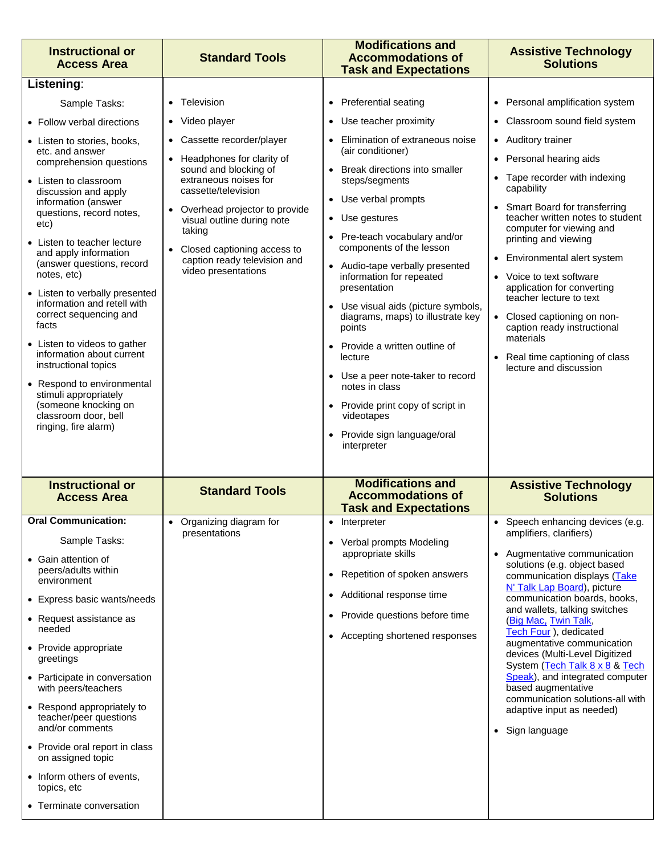| • Personal amplification system<br>Television<br><b>Preferential seating</b><br>Sample Tasks:<br>• Classroom sound field system<br>• Video player<br>Use teacher proximity<br>• Follow verbal directions<br>Elimination of extraneous noise<br>Cassette recorder/player<br>• Auditory trainer<br>• Listen to stories, books,<br>(air conditioner)<br>etc. and answer<br>• Personal hearing aids<br>Headphones for clarity of<br>comprehension questions<br>sound and blocking of<br>Break directions into smaller<br>• Tape recorder with indexing<br>extraneous noises for<br>steps/segments<br>• Listen to classroom<br>capability<br>cassette/television<br>discussion and apply<br>• Use verbal prompts<br>information (answer<br>• Smart Board for transferring<br>Overhead projector to provide<br>questions, record notes,<br>teacher written notes to student<br>• Use gestures<br>visual outline during note<br>etc)<br>computer for viewing and<br>taking<br>• Pre-teach vocabulary and/or<br>printing and viewing<br>• Listen to teacher lecture<br>components of the lesson<br>Closed captioning access to<br>and apply information<br>• Environmental alert system<br>caption ready television and<br>(answer questions, record<br>Audio-tape verbally presented<br>video presentations<br>notes, etc)<br>information for repeated<br>• Voice to text software<br>application for converting<br>presentation<br>• Listen to verbally presented<br>teacher lecture to text<br>information and retell with<br>Use visual aids (picture symbols,<br>correct sequencing and<br>diagrams, maps) to illustrate key<br>• Closed captioning on non-<br>facts<br>caption ready instructional<br>points<br>materials<br>• Listen to videos to gather<br>Provide a written outline of<br>information about current<br>lecture<br>• Real time captioning of class<br>instructional topics<br>lecture and discussion<br>• Use a peer note-taker to record<br>• Respond to environmental<br>notes in class<br>stimuli appropriately<br>(someone knocking on<br>Provide print copy of script in<br>classroom door, bell<br>videotapes<br>ringing, fire alarm)<br>Provide sign language/oral<br>interpreter<br><b>Modifications and</b><br><b>Instructional or</b><br><b>Assistive Technology</b><br><b>Standard Tools</b><br><b>Accommodations of</b><br><b>Solutions</b><br><b>Access Area</b><br><b>Task and Expectations</b><br><b>Oral Communication:</b><br>Organizing diagram for<br>Speech enhancing devices (e.g.<br>Interpreter<br>amplifiers, clarifiers)<br>presentations<br>Sample Tasks:<br>• Verbal prompts Modeling<br>appropriate skills<br>• Augmentative communication<br>solutions (e.g. object based<br>peers/adults within<br>Repetition of spoken answers<br>$\bullet$<br>communication displays (Take<br>environment<br>N' Talk Lap Board), picture<br>Additional response time<br>$\bullet$<br>communication boards, books,<br>and wallets, talking switches<br>• Provide questions before time<br>• Request assistance as<br>(Big Mac, Twin Talk,<br>needed<br>Tech Four ), dedicated<br>• Accepting shortened responses<br>augmentative communication<br>• Provide appropriate<br>devices (Multi-Level Digitized<br>greetings<br>System (Tech Talk 8 x 8 & Tech<br>Speak), and integrated computer<br>based augmentative<br>with peers/teachers<br>communication solutions-all with<br>adaptive input as needed)<br>teacher/peer questions<br>and/or comments<br>• Sign language<br>on assigned topic<br>• Inform others of events,<br>topics, etc<br>• Terminate conversation | <b>Instructional or</b><br><b>Access Area</b>                                                                                                       | <b>Standard Tools</b> | <b>Modifications and</b><br><b>Accommodations of</b><br><b>Task and Expectations</b> | <b>Assistive Technology</b><br><b>Solutions</b> |
|--------------------------------------------------------------------------------------------------------------------------------------------------------------------------------------------------------------------------------------------------------------------------------------------------------------------------------------------------------------------------------------------------------------------------------------------------------------------------------------------------------------------------------------------------------------------------------------------------------------------------------------------------------------------------------------------------------------------------------------------------------------------------------------------------------------------------------------------------------------------------------------------------------------------------------------------------------------------------------------------------------------------------------------------------------------------------------------------------------------------------------------------------------------------------------------------------------------------------------------------------------------------------------------------------------------------------------------------------------------------------------------------------------------------------------------------------------------------------------------------------------------------------------------------------------------------------------------------------------------------------------------------------------------------------------------------------------------------------------------------------------------------------------------------------------------------------------------------------------------------------------------------------------------------------------------------------------------------------------------------------------------------------------------------------------------------------------------------------------------------------------------------------------------------------------------------------------------------------------------------------------------------------------------------------------------------------------------------------------------------------------------------------------------------------------------------------------------------------------------------------------------------------------------------------------------------------------------------------------------------------------------------------------------------------------------------------------------------------------------------------------------------------------------------------------------------------------------------------------------------------------------------------------------------------------------------------------------------------------------------------------------------------------------------------------------------------------------------------------------------------------------------------------------------------------------------------------------------------------------------------------------------------------------------------------------------------------------------------------------------------------------------------------------------------------------------------------------------------------------------------------------------------------------------------------------------------------------------------------|-----------------------------------------------------------------------------------------------------------------------------------------------------|-----------------------|--------------------------------------------------------------------------------------|-------------------------------------------------|
|                                                                                                                                                                                                                                                                                                                                                                                                                                                                                                                                                                                                                                                                                                                                                                                                                                                                                                                                                                                                                                                                                                                                                                                                                                                                                                                                                                                                                                                                                                                                                                                                                                                                                                                                                                                                                                                                                                                                                                                                                                                                                                                                                                                                                                                                                                                                                                                                                                                                                                                                                                                                                                                                                                                                                                                                                                                                                                                                                                                                                                                                                                                                                                                                                                                                                                                                                                                                                                                                                                                                                                                                        | Listening:                                                                                                                                          |                       |                                                                                      |                                                 |
|                                                                                                                                                                                                                                                                                                                                                                                                                                                                                                                                                                                                                                                                                                                                                                                                                                                                                                                                                                                                                                                                                                                                                                                                                                                                                                                                                                                                                                                                                                                                                                                                                                                                                                                                                                                                                                                                                                                                                                                                                                                                                                                                                                                                                                                                                                                                                                                                                                                                                                                                                                                                                                                                                                                                                                                                                                                                                                                                                                                                                                                                                                                                                                                                                                                                                                                                                                                                                                                                                                                                                                                                        |                                                                                                                                                     |                       |                                                                                      |                                                 |
|                                                                                                                                                                                                                                                                                                                                                                                                                                                                                                                                                                                                                                                                                                                                                                                                                                                                                                                                                                                                                                                                                                                                                                                                                                                                                                                                                                                                                                                                                                                                                                                                                                                                                                                                                                                                                                                                                                                                                                                                                                                                                                                                                                                                                                                                                                                                                                                                                                                                                                                                                                                                                                                                                                                                                                                                                                                                                                                                                                                                                                                                                                                                                                                                                                                                                                                                                                                                                                                                                                                                                                                                        |                                                                                                                                                     |                       |                                                                                      |                                                 |
|                                                                                                                                                                                                                                                                                                                                                                                                                                                                                                                                                                                                                                                                                                                                                                                                                                                                                                                                                                                                                                                                                                                                                                                                                                                                                                                                                                                                                                                                                                                                                                                                                                                                                                                                                                                                                                                                                                                                                                                                                                                                                                                                                                                                                                                                                                                                                                                                                                                                                                                                                                                                                                                                                                                                                                                                                                                                                                                                                                                                                                                                                                                                                                                                                                                                                                                                                                                                                                                                                                                                                                                                        |                                                                                                                                                     |                       |                                                                                      |                                                 |
|                                                                                                                                                                                                                                                                                                                                                                                                                                                                                                                                                                                                                                                                                                                                                                                                                                                                                                                                                                                                                                                                                                                                                                                                                                                                                                                                                                                                                                                                                                                                                                                                                                                                                                                                                                                                                                                                                                                                                                                                                                                                                                                                                                                                                                                                                                                                                                                                                                                                                                                                                                                                                                                                                                                                                                                                                                                                                                                                                                                                                                                                                                                                                                                                                                                                                                                                                                                                                                                                                                                                                                                                        |                                                                                                                                                     |                       |                                                                                      |                                                 |
|                                                                                                                                                                                                                                                                                                                                                                                                                                                                                                                                                                                                                                                                                                                                                                                                                                                                                                                                                                                                                                                                                                                                                                                                                                                                                                                                                                                                                                                                                                                                                                                                                                                                                                                                                                                                                                                                                                                                                                                                                                                                                                                                                                                                                                                                                                                                                                                                                                                                                                                                                                                                                                                                                                                                                                                                                                                                                                                                                                                                                                                                                                                                                                                                                                                                                                                                                                                                                                                                                                                                                                                                        |                                                                                                                                                     |                       |                                                                                      |                                                 |
|                                                                                                                                                                                                                                                                                                                                                                                                                                                                                                                                                                                                                                                                                                                                                                                                                                                                                                                                                                                                                                                                                                                                                                                                                                                                                                                                                                                                                                                                                                                                                                                                                                                                                                                                                                                                                                                                                                                                                                                                                                                                                                                                                                                                                                                                                                                                                                                                                                                                                                                                                                                                                                                                                                                                                                                                                                                                                                                                                                                                                                                                                                                                                                                                                                                                                                                                                                                                                                                                                                                                                                                                        |                                                                                                                                                     |                       |                                                                                      |                                                 |
|                                                                                                                                                                                                                                                                                                                                                                                                                                                                                                                                                                                                                                                                                                                                                                                                                                                                                                                                                                                                                                                                                                                                                                                                                                                                                                                                                                                                                                                                                                                                                                                                                                                                                                                                                                                                                                                                                                                                                                                                                                                                                                                                                                                                                                                                                                                                                                                                                                                                                                                                                                                                                                                                                                                                                                                                                                                                                                                                                                                                                                                                                                                                                                                                                                                                                                                                                                                                                                                                                                                                                                                                        | • Gain attention of<br>• Express basic wants/needs<br>• Participate in conversation<br>• Respond appropriately to<br>• Provide oral report in class |                       |                                                                                      |                                                 |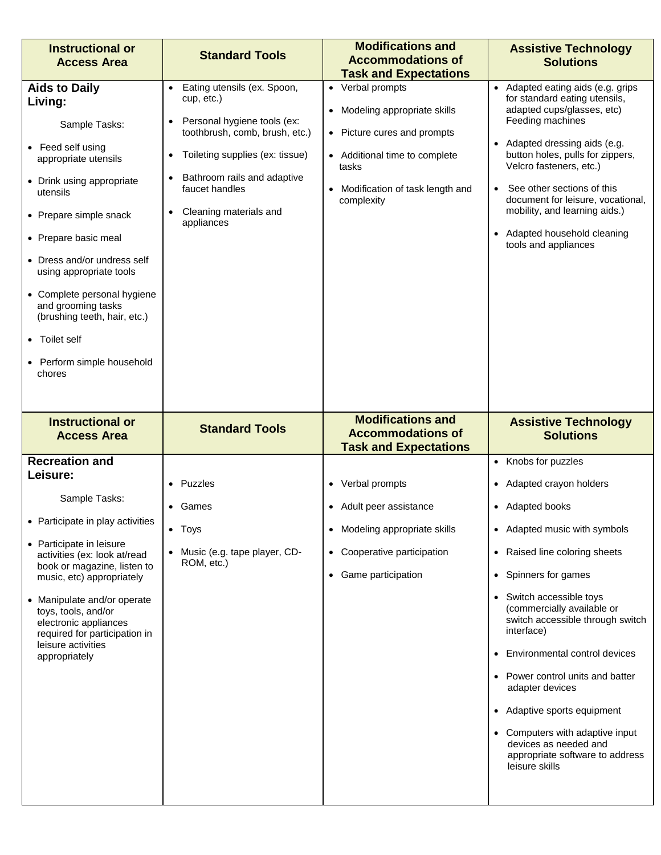| <b>Instructional or</b><br><b>Access Area</b>                                                                                                                                                                                                                                                                                                                                                    | <b>Standard Tools</b>                                                                                                                                                                                                                                            | <b>Modifications and</b><br><b>Accommodations of</b><br><b>Task and Expectations</b>                                                                                          | <b>Assistive Technology</b><br><b>Solutions</b>                                                                                                                                                                                                                                                                                                                                                                                                                                                                   |
|--------------------------------------------------------------------------------------------------------------------------------------------------------------------------------------------------------------------------------------------------------------------------------------------------------------------------------------------------------------------------------------------------|------------------------------------------------------------------------------------------------------------------------------------------------------------------------------------------------------------------------------------------------------------------|-------------------------------------------------------------------------------------------------------------------------------------------------------------------------------|-------------------------------------------------------------------------------------------------------------------------------------------------------------------------------------------------------------------------------------------------------------------------------------------------------------------------------------------------------------------------------------------------------------------------------------------------------------------------------------------------------------------|
| <b>Aids to Daily</b><br>Living:<br>Sample Tasks:<br>• Feed self using<br>appropriate utensils<br>• Drink using appropriate<br>utensils<br>• Prepare simple snack<br>• Prepare basic meal<br>• Dress and/or undress self<br>using appropriate tools<br>• Complete personal hygiene<br>and grooming tasks<br>(brushing teeth, hair, etc.)<br>• Toilet self<br>• Perform simple household<br>chores | Eating utensils (ex. Spoon,<br>$\bullet$<br>cup, etc.)<br>Personal hygiene tools (ex:<br>toothbrush, comb, brush, etc.)<br>Toileting supplies (ex: tissue)<br>$\bullet$<br>Bathroom rails and adaptive<br>faucet handles<br>Cleaning materials and<br>appliances | • Verbal prompts<br>• Modeling appropriate skills<br>• Picture cures and prompts<br>• Additional time to complete<br>tasks<br>• Modification of task length and<br>complexity | • Adapted eating aids (e.g. grips<br>for standard eating utensils,<br>adapted cups/glasses, etc)<br>Feeding machines<br>• Adapted dressing aids (e.g.<br>button holes, pulls for zippers,<br>Velcro fasteners, etc.)<br>See other sections of this<br>document for leisure, vocational,<br>mobility, and learning aids.)<br>• Adapted household cleaning<br>tools and appliances                                                                                                                                  |
|                                                                                                                                                                                                                                                                                                                                                                                                  |                                                                                                                                                                                                                                                                  |                                                                                                                                                                               |                                                                                                                                                                                                                                                                                                                                                                                                                                                                                                                   |
| <b>Instructional or</b><br><b>Access Area</b>                                                                                                                                                                                                                                                                                                                                                    | <b>Standard Tools</b>                                                                                                                                                                                                                                            | <b>Modifications and</b><br><b>Accommodations of</b><br><b>Task and Expectations</b>                                                                                          | <b>Assistive Technology</b><br><b>Solutions</b>                                                                                                                                                                                                                                                                                                                                                                                                                                                                   |
| <b>Recreation and</b><br>Leisure:<br>Sample Tasks:<br>• Participate in play activities<br>• Participate in leisure<br>activities (ex: look at/read<br>book or magazine, listen to<br>music, etc) appropriately<br>• Manipulate and/or operate<br>toys, tools, and/or<br>electronic appliances<br>required for participation in<br>leisure activities<br>appropriately                            | • Puzzles<br>• Games<br>• Toys<br>• Music (e.g. tape player, CD-<br>ROM, etc.)                                                                                                                                                                                   | • Verbal prompts<br>• Adult peer assistance<br>• Modeling appropriate skills<br>• Cooperative participation<br>• Game participation                                           | • Knobs for puzzles<br>• Adapted crayon holders<br>• Adapted books<br>• Adapted music with symbols<br>• Raised line coloring sheets<br>• Spinners for games<br>• Switch accessible toys<br>(commercially available or<br>switch accessible through switch<br>interface)<br>• Environmental control devices<br>• Power control units and batter<br>adapter devices<br>• Adaptive sports equipment<br>• Computers with adaptive input<br>devices as needed and<br>appropriate software to address<br>leisure skills |